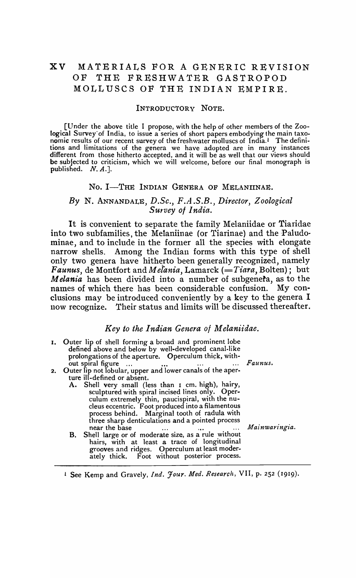# XV MATERIALS FOR A GENERIC REVISION OF THE FRESHWATER GASTROPOD MOLLUSCS OF THE INDIAN EMPIRE.

#### INTRODUCTORY NOTE.

[Under the above title I propose, with the help of other members of the Zoological Survey' of India, to issue a series of short papers embodying the main taxonomic results of our recent survey of the freshwater molluscs of India.! The definitions and limitations of the genera we have adopted are in many instances different from those hitherto accepted, and it will be as well that our views should be subjected to criticism, which we will welcome, before our final monograph is published. *N. A.].* 

#### No. I-THE INDIAN GENERA OF MELANIINAE.

## *By* N. ANNANDALE, *D.Sc., F.A .S.B., Director, Zoological Survey 01 India.*

It is convenient to separate the family Melaniidae or Tiaridae into two subfamilies, the Melaniinae (or Tiarinae) and the Paludominae, and to include in the former all the species with elongate narrow shells. Among the Indian forms with this type of shell only two genera have hitherto been generally recognized, namely *Faunus,* de Montfort and *Melania,* Lamarck *(=Tiara,* Bolten); but *Melania* has been divided into a number of subgenefa, as to the names of which there has been considerable confusion. My conclusions may be introduced conveniently by a key to the genera I now recognize. Their status and limits will be discussed thereafter.

### *Key to the Indian Genera ot M elanit'dae.*

| 1. Outer lip of shell forming a broad and prominent lobe<br>defined above and below by well-developed canal-like<br>prolongations of the aperture. Operculum thick, with-<br>out spiral figure<br>$\cdots$ | Faunus.       |
|------------------------------------------------------------------------------------------------------------------------------------------------------------------------------------------------------------|---------------|
| 2. Outer lip not lobular, upper and lower canals of the aper-                                                                                                                                              |               |
| ture ill-defined or absent.                                                                                                                                                                                |               |
| A. Shell very small (less than I cm. high), hairy,                                                                                                                                                         |               |
| sculptured with spiral incised lines only. Oper-                                                                                                                                                           |               |
| culum extremely thin, paucispiral, with the nu-                                                                                                                                                            |               |
| cleus eccentric. Foot produced into a filamentous                                                                                                                                                          |               |
|                                                                                                                                                                                                            |               |
| process behind. Marginal tooth of radula with                                                                                                                                                              |               |
| three sharp denticulations and a pointed process                                                                                                                                                           |               |
| near the base                                                                                                                                                                                              | Mainwaringia. |
| B. Shell large or of moderate size, as a rule without                                                                                                                                                      |               |
| hairs, with at least a trace of longitudinal                                                                                                                                                               |               |
|                                                                                                                                                                                                            |               |
| grooves and ridges. Operculum at least moder-                                                                                                                                                              |               |
| ately thick. Foot without posterior process.                                                                                                                                                               |               |

1 See Kemp and Gravely, *Ind. Jour. Med. Research,* VII, p. 252 (1919).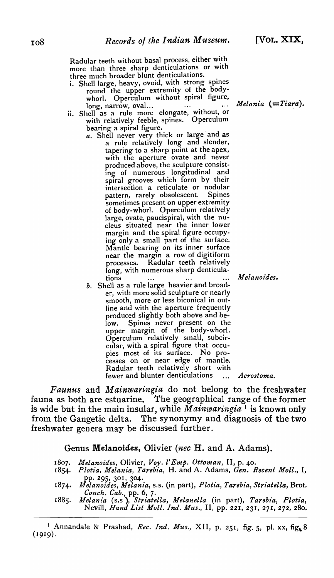Radular teeth without basal process, either with more than three sharp denticulations or with three much broader blunt denticulations.

- i. Shell large, heavy, ovoid, with strong spines round the upper extremity of the bodywhorl. Operculum without spiral figure,
- I and the same with the same without, without, or i.e. Shell as a rule more elongate, without, or with relatively feeble, spines. Operculum bearing a spiral figure.
	- a. Shell never very thick or large and as a rule relatively long and slender, tapering to a sharp point at the apex, with the aperture ovate and never produced above, the sculpture consisting of numerous longitudinal and spiral grooves which form by their intersection a reticulate or nodular<br>pattern, rarely obsolescent. Spines pattern, rarely obsolescent. sometimes present on upper extremity of body-whorl. Operculum relatively large, ovate, paucispiral, with the nucleus situated near the inner lower margin and the spiral figure occupying only a small part of the surface. Mantle bearing on its inner surface near the margin a row of digitiform processes. Radular teeth relatively long, with numerous sharp denticulations *M elanoides.*
	- *b.* Shell as a rule large heavier and broader, with more solid sculpture or nearly smooth, more or less biconical in outline and with the aperture frequently produced slightly both above and below. Spines never present on the upper margin of the body-whorl. Operculum relatively small, subcircular, with a spiral figure that occupies most of its surface. No processes on or near edge of mantle. Radular teeth relatively short with fewer and blunter denticulations ... Acrostoma.

*Faunus* and *Mainwaringia* do not belong to the freshwater fauna as both are estuarine. The geographical range of the former is wide but in the main insular, while *Mainwaringia* <sup>1</sup> is known only from the Gangetic delta. The synonymy and diagnosis of the two freshwater genera may be discussed further.

Genus Melanoides, Olivier (nec H. and A. Adams).

- 1807. *Melanoides,* Olivier, *Voy. l'Emp. Ottoman,* II, p. 40.
- 1854· *Plot£a, Melania, Tarebia,* H. and A. Adams, *Gen. Recent Moll.,* I, pp. 295, 301, 304.
- 1874. *Melanoides, Melania,* s.s. (in part), *Plotia, Tarebia, Striatella,* Brot. *Conch. Cab.,* pp. 6, 7.
- 1885. *Melania* (s.s.), *Striatella, Melanella* (in part), *Tarebia, Plotia,*  Nevill, *Hand List Moll. Ind. Mus.,* II, pp. 221, 231, 271, 272, 280.

<sup>&</sup>lt;sup>1</sup> Annandale & Prashad, *Rec. Ind. Mus.*, XII, p. 251, fig. 5, pl. xx, fig. 8  $(1919).$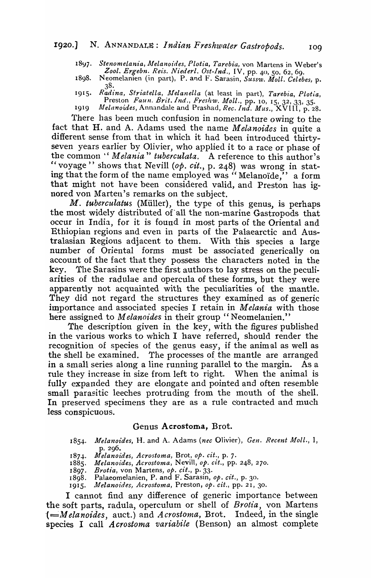1897. Stenomelania, Melanoides, Plotia, Tarebia, von Martens in Weber's *Zool. Ergebn. Reis. Niederl. Ost-Ind.,* IV, pp. 40, So, 62,69.

- 1898. Neomelanien (in part), P. and F. Sarasin, *Sussw. Moll. Celebes,* p. 38.
- 191*5. Radina , Sfriatella, lffelanella* (at least in part), *Tarebia, Plotia,*  Preston *Faun. Brit. Ind., Freshw. Moll.*, pp. 10, 15, 32, 33, 35. 1919 *Alelanoides,* Annandale and Prashad, *Rec. Ind. Mus.,* XVIII, p. 28.

'l'here has been much confusion in nomenclature *owing* to the

fact that H. and A. Adams used the name *Melanoides* in quite a different sense from that in which it had been introduced thirtyseven years earlier by Olivier, who applied it to a race or phase of the common" *Melania" tuberculata.* A reference to this author's *Ie* voyage" shows that Nevill *(op. cit.,* p. 248) was wrong in stating that the form of the name employed was "Melanoïde," a form that might not have been considered valid, and Preston has ignored von Marten's remarks on the subject.

M. *tuberculatus* (Müller), the type of this genus, is perhaps the most widely distributed of all the non-marine Gastropods that occur in India, for it is found in most parts of the Oriental and Ethiopian regions and even in parts of the Palaearctic and Australasian Regions adjacent to them. With this species a large number of Oriental forms must be associated generically on account of the fact that they possess the characters noted in the key. The Sarasins were the first authors to lay stress on the peculiarities of the radulae and opercula of these forms, but they were apparently not acquainted with the peculiarities of the mantle. They did not regard the structures they examined as of generic importance and associated species I retain in *Melania* with those here assigned to *Melanoides* in their group "Neomelanien."

The description given in the key, with the figures published in the various works to which I have referred, should render the recognition of species of the genus easy, if the animal as well as the shell be examined. The processes of the mantle are arranged in a small series along a line running parallel to the margin. As a rule they increase in size from left to right. When the animal is fully expanded they are elongate and pointed and often resemble small parasitic leeches protruding from the mouth of the shell. In preserved specimens they are as a rule contracted and much less conspicuous.

### Genus Acrostoma, Brot.

- 1854. Melanoides, H. and A. Adams (nec Olivier), Gen. Recent Moll., 1, p. 296•
- *187.J.. Melanoides, Acrostoma,* Brat, *Ope cit.,* p. 7·
- *1885. Melanoides, Acrostoma,* Nevill, *op. cit.,* pp. 248, 270.
- *1897. Brotia,* von Martens, *op. cit.,* P' 33.
- 1898. Palaeomelanien, P. and F. Sarasin, op. cit., p. 30.
- 1915. *lWelanoides, Acrostoma,* Preston, *op. cit.,* pp. 21, 30.

I cannot find any difference of generic importance between the soft parts, radula, operculurn or shell of *Brotia,* von Martens (=Melanoides, auct.) and *Acrostoma*, Brot. Indeed, in the single species I call *Acrostoma variabile* (Benson) an almost complete